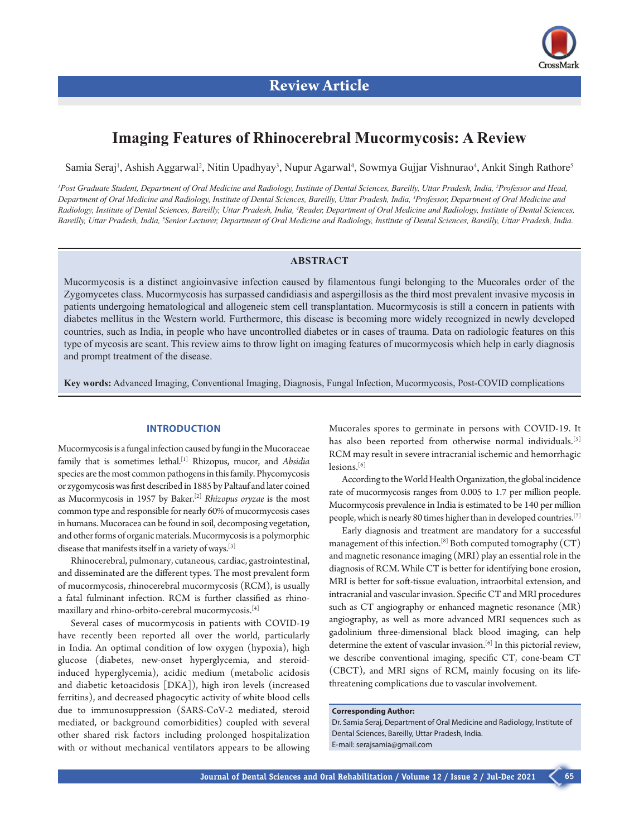# **Imaging Features of Rhinocerebral Mucormycosis: A Review**

Samia Seraj<sup>1</sup>, Ashish Aggarwal<sup>2</sup>, Nitin Upadhyay<sup>3</sup>, Nupur Agarwal<sup>4</sup>, Sowmya Gujjar Vishnurao<sup>4</sup>, Ankit Singh Rathore<sup>5</sup>

<sup>1</sup> Post Graduate Student, Department of Oral Medicine and Radiology, Institute of Dental Sciences, Bareilly, Uttar Pradesh, India, <sup>2</sup>Professor and Head, *Department of Oral Medicine and Radiology, Institute of Dental Sciences, Bareilly, Uttar Pradesh, India, 3 Professor, Department of Oral Medicine and*  Radiology, Institute of Dental Sciences, Bareilly, Uttar Pradesh, India, <sup>4</sup>Reader, Department of Oral Medicine and Radiology, Institute of Dental Sciences, *Bareilly, Uttar Pradesh, India, 5 Senior Lecturer, Department of Oral Medicine and Radiology, Institute of Dental Sciences, Bareilly, Uttar Pradesh, India.*

# **ABSTRACT**

Mucormycosis is a distinct angioinvasive infection caused by filamentous fungi belonging to the Mucorales order of the Zygomycetes class. Mucormycosis has surpassed candidiasis and aspergillosis as the third most prevalent invasive mycosis in patients undergoing hematological and allogeneic stem cell transplantation. Mucormycosis is still a concern in patients with diabetes mellitus in the Western world. Furthermore, this disease is becoming more widely recognized in newly developed countries, such as India, in people who have uncontrolled diabetes or in cases of trauma. Data on radiologic features on this type of mycosis are scant. This review aims to throw light on imaging features of mucormycosis which help in early diagnosis and prompt treatment of the disease.

**Key words:** Advanced Imaging, Conventional Imaging, Diagnosis, Fungal Infection, Mucormycosis, Post-COVID complications

# **INTRODUCTION**

Mucormycosis is a fungal infection caused by fungi in the Mucoraceae family that is sometimes lethal.[1] Rhizopus, mucor, and *Absidia* species are the most common pathogens in this family. Phycomycosis or zygomycosis was first described in 1885 by Paltauf and later coined as Mucormycosis in 1957 by Baker.[2] *Rhizopus oryzae* is the most common type and responsible for nearly 60% of mucormycosis cases in humans. Mucoracea can be found in soil, decomposing vegetation, and other forms of organic materials. Mucormycosis is a polymorphic disease that manifests itself in a variety of ways.[3]

Rhinocerebral, pulmonary, cutaneous, cardiac, gastrointestinal, and disseminated are the different types. The most prevalent form of mucormycosis, rhinocerebral mucormycosis (RCM), is usually a fatal fulminant infection. RCM is further classified as rhinomaxillary and rhino-orbito-cerebral mucormycosis.[4]

Several cases of mucormycosis in patients with COVID-19 have recently been reported all over the world, particularly in India. An optimal condition of low oxygen (hypoxia), high glucose (diabetes, new-onset hyperglycemia, and steroidinduced hyperglycemia), acidic medium (metabolic acidosis and diabetic ketoacidosis [DKA]), high iron levels (increased ferritins), and decreased phagocytic activity of white blood cells due to immunosuppression (SARS-CoV-2 mediated, steroid mediated, or background comorbidities) coupled with several other shared risk factors including prolonged hospitalization with or without mechanical ventilators appears to be allowing Mucorales spores to germinate in persons with COVID-19. It has also been reported from otherwise normal individuals.<sup>[5]</sup> RCM may result in severe intracranial ischemic and hemorrhagic lesions.<sup>[6]</sup>

According to the World Health Organization, the global incidence rate of mucormycosis ranges from 0.005 to 1.7 per million people. Mucormycosis prevalence in India is estimated to be 140 per million people, which is nearly 80 times higher than in developed countries.[7]

Early diagnosis and treatment are mandatory for a successful management of this infection.[8] Both computed tomography (CT) and magnetic resonance imaging (MRI) play an essential role in the diagnosis of RCM. While CT is better for identifying bone erosion, MRI is better for soft-tissue evaluation, intraorbital extension, and intracranial and vascular invasion. Specific CT and MRI procedures such as CT angiography or enhanced magnetic resonance (MR) angiography, as well as more advanced MRI sequences such as gadolinium three-dimensional black blood imaging, can help determine the extent of vascular invasion.<sup>[6]</sup> In this pictorial review, we describe conventional imaging, specific CT, cone-beam CT (CBCT), and MRI signs of RCM, mainly focusing on its lifethreatening complications due to vascular involvement.

### **Corresponding Author:**

Dr. Samia Seraj, Department of Oral Medicine and Radiology, Institute of Dental Sciences, Bareilly, Uttar Pradesh, India. E-mail: serajsamia@gmail.com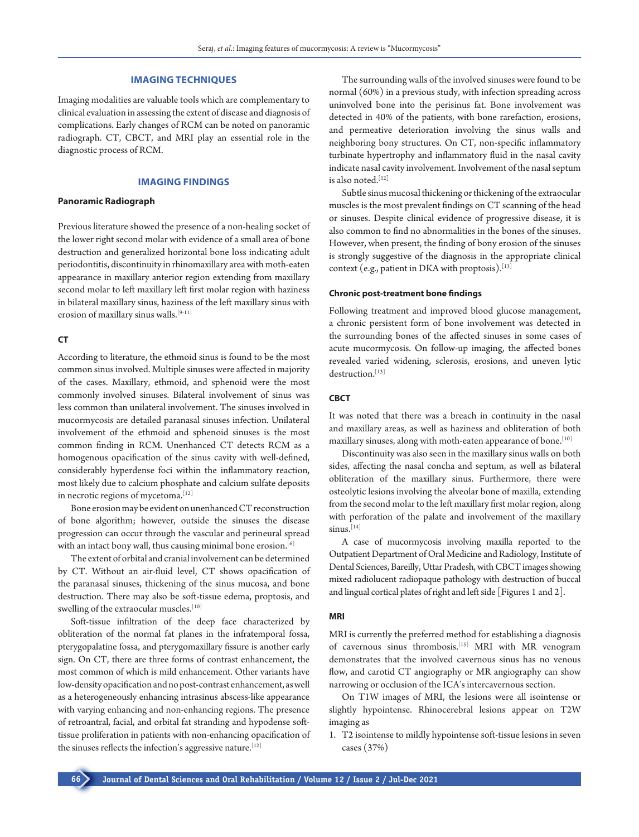## **IMAGING TECHNIQUES**

Imaging modalities are valuable tools which are complementary to clinical evaluation in assessing the extent of disease and diagnosis of complications. Early changes of RCM can be noted on panoramic radiograph. CT, CBCT, and MRI play an essential role in the diagnostic process of RCM.

# **IMAGING FINDINGS**

#### **Panoramic Radiograph**

Previous literature showed the presence of a non-healing socket of the lower right second molar with evidence of a small area of bone destruction and generalized horizontal bone loss indicating adult periodontitis, discontinuity in rhinomaxillary area with moth-eaten appearance in maxillary anterior region extending from maxillary second molar to left maxillary left first molar region with haziness in bilateral maxillary sinus, haziness of the left maxillary sinus with erosion of maxillary sinus walls.[9-11]

# **CT**

According to literature, the ethmoid sinus is found to be the most common sinus involved. Multiple sinuses were affected in majority of the cases. Maxillary, ethmoid, and sphenoid were the most commonly involved sinuses. Bilateral involvement of sinus was less common than unilateral involvement. The sinuses involved in mucormycosis are detailed paranasal sinuses infection. Unilateral involvement of the ethmoid and sphenoid sinuses is the most common finding in RCM. Unenhanced CT detects RCM as a homogenous opacification of the sinus cavity with well-defined, considerably hyperdense foci within the inflammatory reaction, most likely due to calcium phosphate and calcium sulfate deposits in necrotic regions of mycetoma.<sup>[12]</sup>

Bone erosion may be evident on unenhanced CT reconstruction of bone algorithm; however, outside the sinuses the disease progression can occur through the vascular and perineural spread with an intact bony wall, thus causing minimal bone erosion.<sup>[6]</sup>

The extent of orbital and cranial involvement can be determined by CT. Without an air-fluid level, CT shows opacification of the paranasal sinuses, thickening of the sinus mucosa, and bone destruction. There may also be soft-tissue edema, proptosis, and swelling of the extraocular muscles.<sup>[10]</sup>

Soft-tissue infiltration of the deep face characterized by obliteration of the normal fat planes in the infratemporal fossa, pterygopalatine fossa, and pterygomaxillary fissure is another early sign. On CT, there are three forms of contrast enhancement, the most common of which is mild enhancement. Other variants have low-density opacification and no post-contrast enhancement, as well as a heterogeneously enhancing intrasinus abscess-like appearance with varying enhancing and non-enhancing regions. The presence of retroantral, facial, and orbital fat stranding and hypodense softtissue proliferation in patients with non-enhancing opacification of the sinuses reflects the infection's aggressive nature.<sup>[12]</sup>

The surrounding walls of the involved sinuses were found to be normal (60%) in a previous study, with infection spreading across uninvolved bone into the perisinus fat. Bone involvement was detected in 40% of the patients, with bone rarefaction, erosions, and permeative deterioration involving the sinus walls and neighboring bony structures. On CT, non-specific inflammatory turbinate hypertrophy and inflammatory fluid in the nasal cavity indicate nasal cavity involvement. Involvement of the nasal septum is also noted.[12]

Subtle sinus mucosal thickening or thickening of the extraocular muscles is the most prevalent findings on CT scanning of the head or sinuses. Despite clinical evidence of progressive disease, it is also common to find no abnormalities in the bones of the sinuses. However, when present, the finding of bony erosion of the sinuses is strongly suggestive of the diagnosis in the appropriate clinical context (e.g., patient in DKA with proptosis).[13]

#### **Chronic post-treatment bone findings**

Following treatment and improved blood glucose management, a chronic persistent form of bone involvement was detected in the surrounding bones of the affected sinuses in some cases of acute mucormycosis. On follow-up imaging, the affected bones revealed varied widening, sclerosis, erosions, and uneven lytic destruction.<sup>[13]</sup>

# **CBCT**

It was noted that there was a breach in continuity in the nasal and maxillary areas, as well as haziness and obliteration of both maxillary sinuses, along with moth-eaten appearance of bone.<sup>[10]</sup>

Discontinuity was also seen in the maxillary sinus walls on both sides, affecting the nasal concha and septum, as well as bilateral obliteration of the maxillary sinus. Furthermore, there were osteolytic lesions involving the alveolar bone of maxilla, extending from the second molar to the left maxillary first molar region, along with perforation of the palate and involvement of the maxillary  $sinus.$ <sup>[14]</sup>

A case of mucormycosis involving maxilla reported to the Outpatient Department of Oral Medicine and Radiology, Institute of Dental Sciences, Bareilly, Uttar Pradesh, with CBCT images showing mixed radiolucent radiopaque pathology with destruction of buccal and lingual cortical plates of right and left side [Figures 1 and 2].

#### **MRI**

MRI is currently the preferred method for establishing a diagnosis of cavernous sinus thrombosis.[15] MRI with MR venogram demonstrates that the involved cavernous sinus has no venous flow, and carotid CT angiography or MR angiography can show narrowing or occlusion of the ICA's intercavernous section.

On T1W images of MRI, the lesions were all isointense or slightly hypointense. Rhinocerebral lesions appear on T2W imaging as

1. T2 isointense to mildly hypointense soft-tissue lesions in seven cases (37%)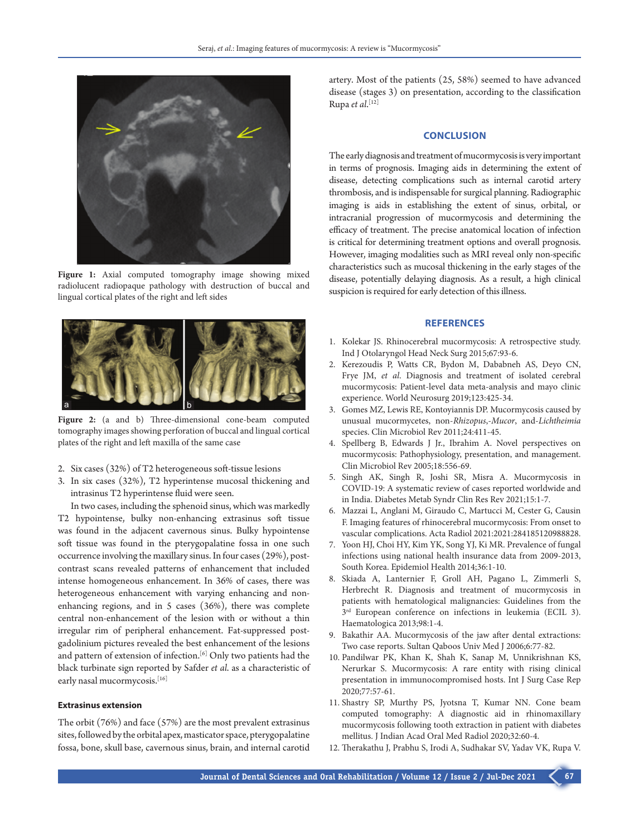

Figure 1: Axial computed tomography image showing mixed radiolucent radiopaque pathology with destruction of buccal and lingual cortical plates of the right and left sides



**Figure 2:** (a and b) Three-dimensional cone-beam computed tomography images showing perforation of buccal and lingual cortical plates of the right and left maxilla of the same case

- 2. Six cases (32%) of T2 heterogeneous soft-tissue lesions
- 3. In six cases (32%), T2 hyperintense mucosal thickening and intrasinus T2 hyperintense fluid were seen.

In two cases, including the sphenoid sinus, which was markedly T2 hypointense, bulky non-enhancing extrasinus soft tissue was found in the adjacent cavernous sinus. Bulky hypointense soft tissue was found in the pterygopalatine fossa in one such occurrence involving the maxillary sinus. In four cases (29%), postcontrast scans revealed patterns of enhancement that included intense homogeneous enhancement. In 36% of cases, there was heterogeneous enhancement with varying enhancing and nonenhancing regions, and in 5 cases (36%), there was complete central non-enhancement of the lesion with or without a thin irregular rim of peripheral enhancement. Fat-suppressed postgadolinium pictures revealed the best enhancement of the lesions and pattern of extension of infection.<sup>[6]</sup> Only two patients had the black turbinate sign reported by Safder *et al*. as a characteristic of early nasal mucormycosis.<sup>[16]</sup>

#### **Extrasinus extension**

The orbit (76%) and face (57%) are the most prevalent extrasinus sites, followed by the orbital apex, masticator space, pterygopalatine fossa, bone, skull base, cavernous sinus, brain, and internal carotid

artery. Most of the patients (25, 58%) seemed to have advanced disease (stages 3) on presentation, according to the classification Rupa *et al*. [12]

#### **CONCLUSION**

The early diagnosis and treatment of mucormycosis is very important in terms of prognosis. Imaging aids in determining the extent of disease, detecting complications such as internal carotid artery thrombosis, and is indispensable for surgical planning. Radiographic imaging is aids in establishing the extent of sinus, orbital, or intracranial progression of mucormycosis and determining the efficacy of treatment. The precise anatomical location of infection is critical for determining treatment options and overall prognosis. However, imaging modalities such as MRI reveal only non-specific characteristics such as mucosal thickening in the early stages of the disease, potentially delaying diagnosis. As a result, a high clinical suspicion is required for early detection of this illness.

#### **REFERENCES**

- 1. Kolekar JS. Rhinocerebral mucormycosis: A retrospective study. Ind J Otolaryngol Head Neck Surg 2015;67:93-6.
- 2. Kerezoudis P, Watts CR, Bydon M, Dababneh AS, Deyo CN, Frye JM, *et al*. Diagnosis and treatment of isolated cerebral mucormycosis: Patient-level data meta-analysis and mayo clinic experience. World Neurosurg 2019;123:425-34.
- 3. Gomes MZ, Lewis RE, Kontoyiannis DP. Mucormycosis caused by unusual mucormycetes, non-*Rhizopus*,-*Mucor*, and-*Lichtheimia* species. Clin Microbiol Rev 2011;24:411-45.
- 4. Spellberg B, Edwards J Jr., Ibrahim A. Novel perspectives on mucormycosis: Pathophysiology, presentation, and management. Clin Microbiol Rev 2005;18:556-69.
- 5. Singh AK, Singh R, Joshi SR, Misra A. Mucormycosis in COVID-19: A systematic review of cases reported worldwide and in India. Diabetes Metab Syndr Clin Res Rev 2021;15:1-7.
- 6. Mazzai L, Anglani M, Giraudo C, Martucci M, Cester G, Causin F. Imaging features of rhinocerebral mucormycosis: From onset to vascular complications. Acta Radiol 2021:2021:284185120988828.
- 7. Yoon HJ, Choi HY, Kim YK, Song YJ, Ki MR. Prevalence of fungal infections using national health insurance data from 2009-2013, South Korea. Epidemiol Health 2014;36:1-10.
- 8. Skiada A, Lanternier F, Groll AH, Pagano L, Zimmerli S, Herbrecht R. Diagnosis and treatment of mucormycosis in patients with hematological malignancies: Guidelines from the 3rd European conference on infections in leukemia (ECIL 3). Haematologica 2013;98:1-4.
- 9. Bakathir AA. Mucormycosis of the jaw after dental extractions: Two case reports. Sultan Qaboos Univ Med J 2006;6:77-82.
- 10. Pandilwar PK, Khan K, Shah K, Sanap M, Unnikrishnan KS, Nerurkar S. Mucormycosis: A rare entity with rising clinical presentation in immunocompromised hosts. Int J Surg Case Rep 2020;77:57-61.
- 11. Shastry SP, Murthy PS, Jyotsna T, Kumar NN. Cone beam computed tomography: A diagnostic aid in rhinomaxillary mucormycosis following tooth extraction in patient with diabetes mellitus. J Indian Acad Oral Med Radiol 2020;32:60-4.
- 12. Therakathu J, Prabhu S, Irodi A, Sudhakar SV, Yadav VK, Rupa V.